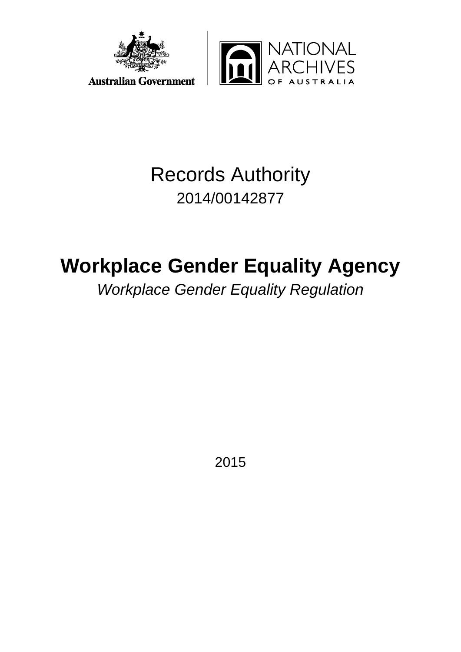



## Records Authority 2014/00142877

# **Workplace Gender Equality Agency**

*Workplace Gender Equality Regulation*

2015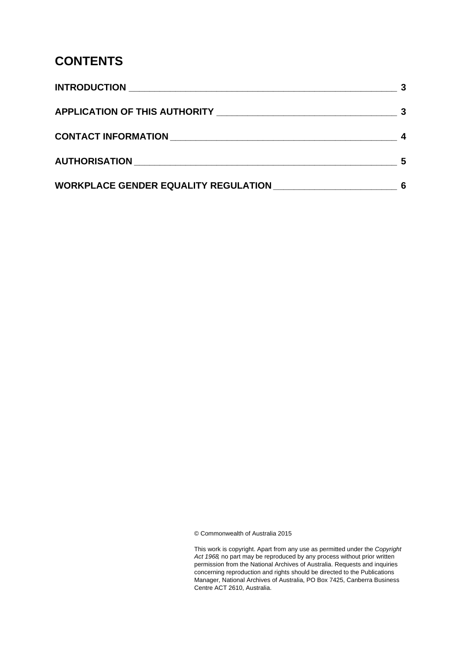### **CONTENTS**

|                                             | 5 |
|---------------------------------------------|---|
| <b>WORKPLACE GENDER EQUALITY REGULATION</b> |   |

© Commonwealth of Australia 2015

This work is copyright. Apart from any use as permitted under the *Copyright Act 1968,* no part may be reproduced by any process without prior written permission from the National Archives of Australia. Requests and inquiries concerning reproduction and rights should be directed to the Publications Manager, National Archives of Australia, PO Box 7425, Canberra Business Centre ACT 2610, Australia.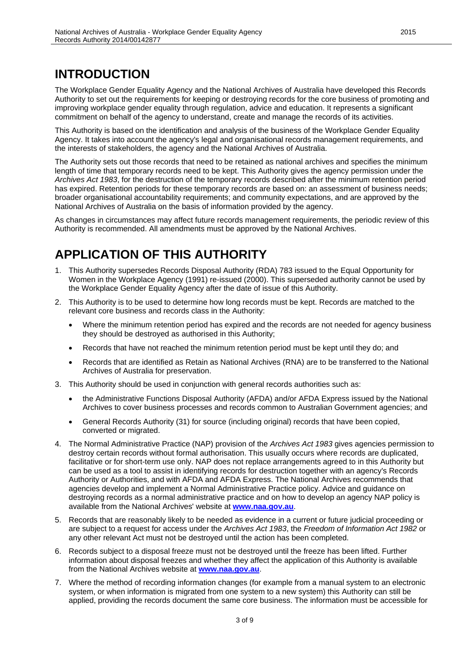### <span id="page-2-0"></span>**INTRODUCTION**

The Workplace Gender Equality Agency and the National Archives of Australia have developed this Records Authority to set out the requirements for keeping or destroying records for the core business of promoting and improving workplace gender equality through regulation, advice and education. It represents a significant commitment on behalf of the agency to understand, create and manage the records of its activities.

This Authority is based on the identification and analysis of the business of the Workplace Gender Equality Agency. It takes into account the agency's legal and organisational records management requirements, and the interests of stakeholders, the agency and the National Archives of Australia.

The Authority sets out those records that need to be retained as national archives and specifies the minimum length of time that temporary records need to be kept. This Authority gives the agency permission under the *Archives Act 1983*, for the destruction of the temporary records described after the minimum retention period has expired. Retention periods for these temporary records are based on: an assessment of business needs; broader organisational accountability requirements; and community expectations, and are approved by the National Archives of Australia on the basis of information provided by the agency.

As changes in circumstances may affect future records management requirements, the periodic review of this Authority is recommended. All amendments must be approved by the National Archives.

### <span id="page-2-1"></span>**APPLICATION OF THIS AUTHORITY**

- 1. This Authority supersedes Records Disposal Authority (RDA) 783 issued to the Equal Opportunity for Women in the Workplace Agency (1991) re-issued (2000). This superseded authority cannot be used by the Workplace Gender Equality Agency after the date of issue of this Authority.
- 2. This Authority is to be used to determine how long records must be kept. Records are matched to the relevant core business and records class in the Authority:
	- Where the minimum retention period has expired and the records are not needed for agency business they should be destroyed as authorised in this Authority;
	- Records that have not reached the minimum retention period must be kept until they do; and
	- Records that are identified as Retain as National Archives (RNA) are to be transferred to the National Archives of Australia for preservation.
- 3. This Authority should be used in conjunction with general records authorities such as:
	- the Administrative Functions Disposal Authority (AFDA) and/or AFDA Express issued by the National Archives to cover business processes and records common to Australian Government agencies; and
	- General Records Authority (31) for source (including original) records that have been copied, converted or migrated.
- 4. The Normal Administrative Practice (NAP) provision of the *Archives Act 1983* gives agencies permission to destroy certain records without formal authorisation. This usually occurs where records are duplicated, facilitative or for short-term use only. NAP does not replace arrangements agreed to in this Authority but can be used as a tool to assist in identifying records for destruction together with an agency's Records Authority or Authorities, and with AFDA and AFDA Express. The National Archives recommends that agencies develop and implement a Normal Administrative Practice policy. Advice and guidance on destroying records as a normal administrative practice and on how to develop an agency NAP policy is available from the National Archives' website at **[www.naa.gov.au](http://www.naa.gov.au/)**.
- 5. Records that are reasonably likely to be needed as evidence in a current or future judicial proceeding or are subject to a request for access under the *Archives Act 1983*, the *Freedom of Information Act 1982* or any other relevant Act must not be destroyed until the action has been completed.
- 6. Records subject to a disposal freeze must not be destroyed until the freeze has been lifted. Further information about disposal freezes and whether they affect the application of this Authority is available from the National Archives website at **[www.naa.gov.au](http://www.naa.gov.au/)**.
- 7. Where the method of recording information changes (for example from a manual system to an electronic system, or when information is migrated from one system to a new system) this Authority can still be applied, providing the records document the same core business. The information must be accessible for

3 of 9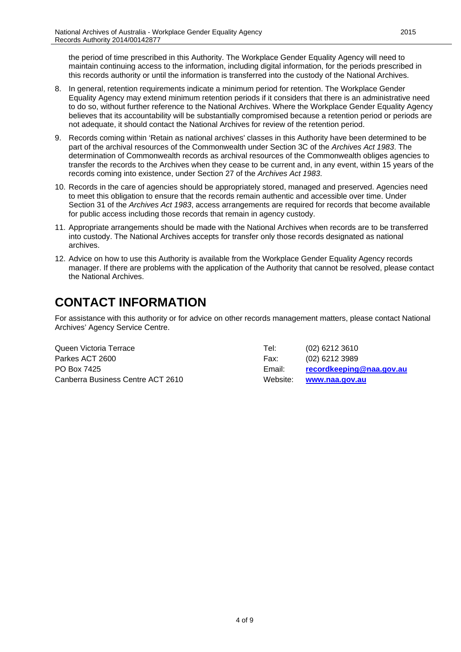the period of time prescribed in this Authority. The Workplace Gender Equality Agency will need to maintain continuing access to the information, including digital information, for the periods prescribed in this records authority or until the information is transferred into the custody of the National Archives.

- 8. In general, retention requirements indicate a minimum period for retention. The Workplace Gender Equality Agency may extend minimum retention periods if it considers that there is an administrative need to do so, without further reference to the National Archives. Where the Workplace Gender Equality Agency believes that its accountability will be substantially compromised because a retention period or periods are not adequate, it should contact the National Archives for review of the retention period.
- 9. Records coming within 'Retain as national archives' classes in this Authority have been determined to be part of the archival resources of the Commonwealth under Section 3C of the *Archives Act 1983*. The determination of Commonwealth records as archival resources of the Commonwealth obliges agencies to transfer the records to the Archives when they cease to be current and, in any event, within 15 years of the records coming into existence, under Section 27 of the *Archives Act 1983*.
- 10. Records in the care of agencies should be appropriately stored, managed and preserved. Agencies need to meet this obligation to ensure that the records remain authentic and accessible over time. Under Section 31 of the *Archives Act 1983*, access arrangements are required for records that become available for public access including those records that remain in agency custody.
- 11. Appropriate arrangements should be made with the National Archives when records are to be transferred into custody. The National Archives accepts for transfer only those records designated as national archives.
- 12. Advice on how to use this Authority is available from the Workplace Gender Equality Agency records manager. If there are problems with the application of the Authority that cannot be resolved, please contact the National Archives.

### <span id="page-3-0"></span>**CONTACT INFORMATION**

For assistance with this authority or for advice on other records management matters, please contact National Archives' Agency Service Centre.

| Queen Victoria Terrace            | Tel:     | (02) 6212 3610           |
|-----------------------------------|----------|--------------------------|
| Parkes ACT 2600                   | Fax:     | $(02)$ 6212 3989         |
| PO Box 7425                       | Email:   | recordkeeping@naa.gov.au |
| Canberra Business Centre ACT 2610 | Website: | www.naa.gov.au           |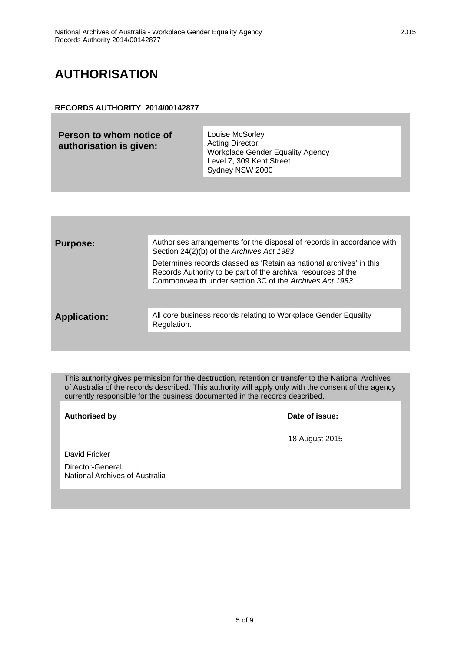### <span id="page-4-0"></span>**AUTHORISATION**

#### **RECORDS AUTHORITY 2014/00142877**

| Person to whom notice of<br>authorisation is given: | Louise McSorley<br><b>Acting Director</b><br><b>Workplace Gender Equality Agency</b><br>Level 7, 309 Kent Street<br>Sydney NSW 2000 |
|-----------------------------------------------------|-------------------------------------------------------------------------------------------------------------------------------------|
|                                                     |                                                                                                                                     |

| <b>Purpose:</b>     | Authorises arrangements for the disposal of records in accordance with<br>Section 24(2)(b) of the Archives Act 1983                                                                             |
|---------------------|-------------------------------------------------------------------------------------------------------------------------------------------------------------------------------------------------|
|                     | Determines records classed as 'Retain as national archives' in this<br>Records Authority to be part of the archival resources of the<br>Commonwealth under section 3C of the Archives Act 1983. |
|                     |                                                                                                                                                                                                 |
| <b>Application:</b> | All core business records relating to Workplace Gender Equality<br>Regulation.                                                                                                                  |
|                     |                                                                                                                                                                                                 |

This authority gives permission for the destruction, retention or transfer to the National Archives of Australia of the records described. This authority will apply only with the consent of the agency currently responsible for the business documented in the records described.

**Authorised by Date of issue:**

18 August 2015

David Fricker

Director-General National Archives of Australia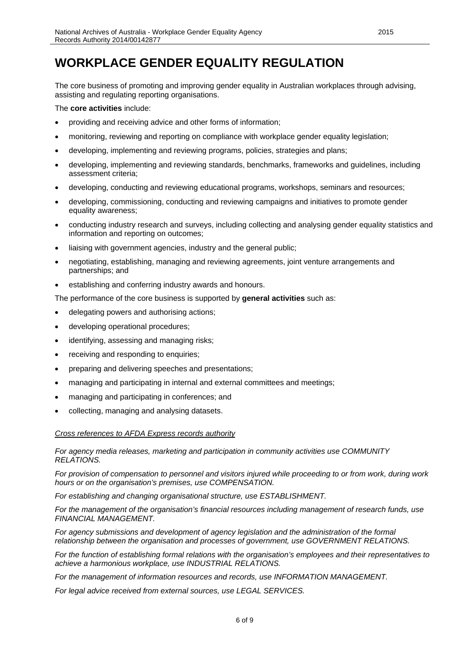<span id="page-5-0"></span>The core business of promoting and improving gender equality in Australian workplaces through advising, assisting and regulating reporting organisations.

The **core activities** include:

- providing and receiving advice and other forms of information;
- monitoring, reviewing and reporting on compliance with workplace gender equality legislation;
- developing, implementing and reviewing programs, policies, strategies and plans;
- developing, implementing and reviewing standards, benchmarks, frameworks and guidelines, including assessment criteria;
- developing, conducting and reviewing educational programs, workshops, seminars and resources;
- developing, commissioning, conducting and reviewing campaigns and initiatives to promote gender equality awareness;
- conducting industry research and surveys, including collecting and analysing gender equality statistics and information and reporting on outcomes;
- liaising with government agencies, industry and the general public;
- negotiating, establishing, managing and reviewing agreements, joint venture arrangements and partnerships; and
- establishing and conferring industry awards and honours.

The performance of the core business is supported by **general activities** such as:

- delegating powers and authorising actions;
- developing operational procedures;
- identifying, assessing and managing risks;
- receiving and responding to enquiries;
- preparing and delivering speeches and presentations;
- managing and participating in internal and external committees and meetings;
- managing and participating in conferences; and
- collecting, managing and analysing datasets.

*Cross references to AFDA Express records authority*

#### *For agency media releases, marketing and participation in community activities use COMMUNITY RELATIONS.*

*For provision of compensation to personnel and visitors injured while proceeding to or from work, during work hours or on the organisation's premises, use COMPENSATION.*

*For establishing and changing organisational structure, use ESTABLISHMENT.*

*For the management of the organisation's financial resources including management of research funds, use FINANCIAL MANAGEMENT.*

*For agency submissions and development of agency legislation and the administration of the formal relationship between the organisation and processes of government, use GOVERNMENT RELATIONS.*

*For the function of establishing formal relations with the organisation's employees and their representatives to achieve a harmonious workplace, use INDUSTRIAL RELATIONS.*

*For the management of information resources and records, use INFORMATION MANAGEMENT.*

*For legal advice received from external sources, use LEGAL SERVICES.*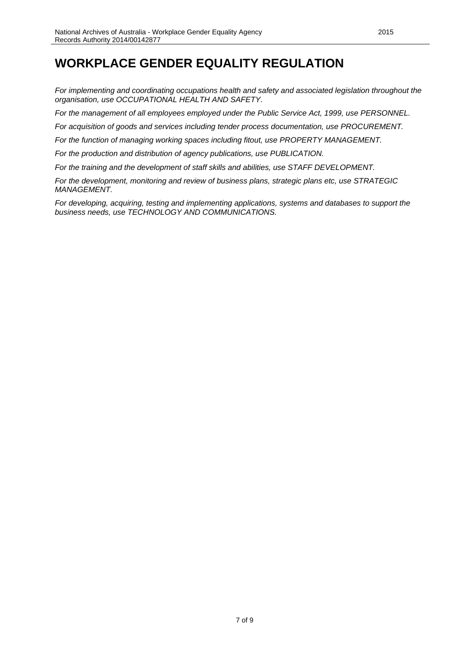*For implementing and coordinating occupations health and safety and associated legislation throughout the organisation, use OCCUPATIONAL HEALTH AND SAFETY.*

*For the management of all employees employed under the Public Service Act, 1999, use PERSONNEL.*

*For acquisition of goods and services including tender process documentation, use PROCUREMENT.*

*For the function of managing working spaces including fitout, use PROPERTY MANAGEMENT.*

*For the production and distribution of agency publications, use PUBLICATION.*

*For the training and the development of staff skills and abilities, use STAFF DEVELOPMENT.*

*For the development, monitoring and review of business plans, strategic plans etc, use STRATEGIC MANAGEMENT.*

*For developing, acquiring, testing and implementing applications, systems and databases to support the business needs, use TECHNOLOGY AND COMMUNICATIONS.*

7 of 9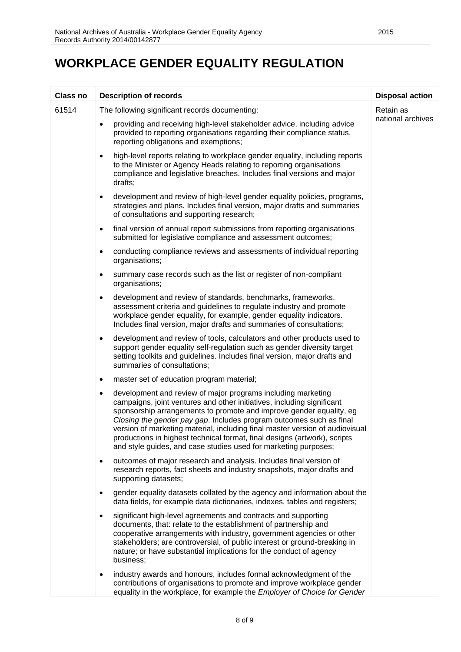| <b>Class no</b> | <b>Description of records</b>                                                                                                                                                                                                                                                                                                                                                                                                                                                                                             | <b>Disposal action</b> |
|-----------------|---------------------------------------------------------------------------------------------------------------------------------------------------------------------------------------------------------------------------------------------------------------------------------------------------------------------------------------------------------------------------------------------------------------------------------------------------------------------------------------------------------------------------|------------------------|
| 61514           | The following significant records documenting:                                                                                                                                                                                                                                                                                                                                                                                                                                                                            | Retain as              |
|                 | providing and receiving high-level stakeholder advice, including advice<br>$\bullet$<br>provided to reporting organisations regarding their compliance status,<br>reporting obligations and exemptions;                                                                                                                                                                                                                                                                                                                   | national archives      |
|                 | high-level reports relating to workplace gender equality, including reports<br>$\bullet$<br>to the Minister or Agency Heads relating to reporting organisations<br>compliance and legislative breaches. Includes final versions and major<br>drafts;                                                                                                                                                                                                                                                                      |                        |
|                 | development and review of high-level gender equality policies, programs,<br>$\bullet$<br>strategies and plans. Includes final version, major drafts and summaries<br>of consultations and supporting research;                                                                                                                                                                                                                                                                                                            |                        |
|                 | final version of annual report submissions from reporting organisations<br>$\bullet$<br>submitted for legislative compliance and assessment outcomes;                                                                                                                                                                                                                                                                                                                                                                     |                        |
|                 | conducting compliance reviews and assessments of individual reporting<br>$\bullet$<br>organisations;                                                                                                                                                                                                                                                                                                                                                                                                                      |                        |
|                 | summary case records such as the list or register of non-compliant<br>$\bullet$<br>organisations;                                                                                                                                                                                                                                                                                                                                                                                                                         |                        |
|                 | development and review of standards, benchmarks, frameworks,<br>$\bullet$<br>assessment criteria and guidelines to regulate industry and promote<br>workplace gender equality, for example, gender equality indicators.<br>Includes final version, major drafts and summaries of consultations;                                                                                                                                                                                                                           |                        |
|                 | development and review of tools, calculators and other products used to<br>$\bullet$<br>support gender equality self-regulation such as gender diversity target<br>setting toolkits and guidelines. Includes final version, major drafts and<br>summaries of consultations;                                                                                                                                                                                                                                               |                        |
|                 | master set of education program material;<br>$\bullet$                                                                                                                                                                                                                                                                                                                                                                                                                                                                    |                        |
|                 | development and review of major programs including marketing<br>٠<br>campaigns, joint ventures and other initiatives, including significant<br>sponsorship arrangements to promote and improve gender equality, eg<br>Closing the gender pay gap. Includes program outcomes such as final<br>version of marketing material, including final master version of audiovisual<br>productions in highest technical format, final designs (artwork), scripts<br>and style guides, and case studies used for marketing purposes; |                        |
|                 | outcomes of major research and analysis. Includes final version of<br>$\bullet$<br>research reports, fact sheets and industry snapshots, major drafts and<br>supporting datasets;                                                                                                                                                                                                                                                                                                                                         |                        |
|                 | gender equality datasets collated by the agency and information about the<br>$\bullet$<br>data fields, for example data dictionaries, indexes, tables and registers;                                                                                                                                                                                                                                                                                                                                                      |                        |
|                 | significant high-level agreements and contracts and supporting<br>$\bullet$<br>documents, that: relate to the establishment of partnership and<br>cooperative arrangements with industry, government agencies or other<br>stakeholders; are controversial, of public interest or ground-breaking in<br>nature; or have substantial implications for the conduct of agency<br>business;                                                                                                                                    |                        |
|                 | industry awards and honours, includes formal acknowledgment of the<br>٠<br>contributions of organisations to promote and improve workplace gender<br>equality in the workplace, for example the Employer of Choice for Gender                                                                                                                                                                                                                                                                                             |                        |